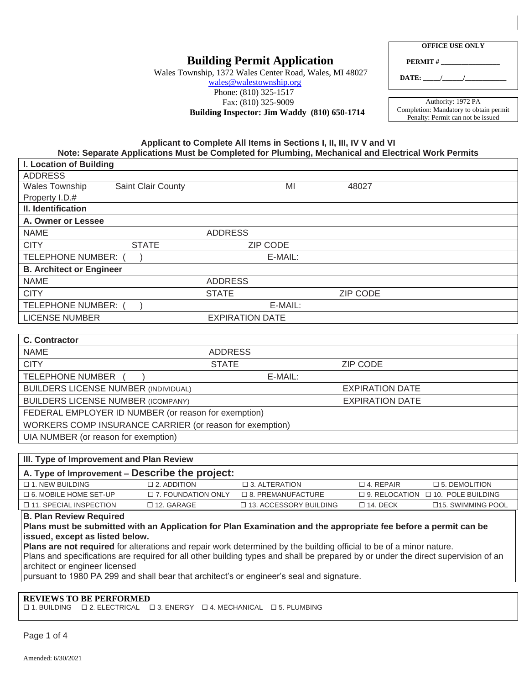# **Building Permit Application**

Wales Township, 1372 Wales Center Road, Wales, MI 48027

## [wales@walestownship.org](mailto:wales@walestownship.org) Phone: (810) 325-1517 Fax: (810) 325-9009

**Building Inspector: Jim Waddy (810) 650-1714** 

| <b>OFFICE USE ONLY</b> |  |  |
|------------------------|--|--|
|                        |  |  |

**PERMIT #** 

**DATE: \_\_\_\_\_/\_\_\_\_\_\_/\_\_\_\_\_\_\_\_\_\_\_\_**

Authority: 1972 PA Completion: Mandatory to obtain permit Penalty: Permit can not be issued

#### **Applicant to Complete All Items in Sections I, II, III, IV V and VI Note: Separate Applications Must be Completed for Plumbing, Mechanical and Electrical Work Permits**

| I. Location of Building                                               |                    |                |                 |                 |
|-----------------------------------------------------------------------|--------------------|----------------|-----------------|-----------------|
| <b>ADDRESS</b>                                                        |                    |                |                 |                 |
| Wales Township                                                        | Saint Clair County |                | MI              | 48027           |
| Property I.D.#                                                        |                    |                |                 |                 |
| II. Identification                                                    |                    |                |                 |                 |
| A. Owner or Lessee                                                    |                    |                |                 |                 |
| <b>NAME</b>                                                           |                    | <b>ADDRESS</b> |                 |                 |
| <b>CITY</b>                                                           | <b>STATE</b>       |                | <b>ZIP CODE</b> |                 |
| <b>TELEPHONE NUMBER:</b>                                              |                    |                | E-MAIL:         |                 |
| <b>B. Architect or Engineer</b>                                       |                    |                |                 |                 |
| <b>NAME</b>                                                           |                    | <b>ADDRESS</b> |                 |                 |
| <b>CITY</b>                                                           |                    | <b>STATE</b>   |                 | <b>ZIP CODE</b> |
| TELEPHONE NUMBER:                                                     |                    |                | E-MAIL:         |                 |
| <b>LICENSE NUMBER</b><br><b>EXPIRATION DATE</b>                       |                    |                |                 |                 |
|                                                                       |                    |                |                 |                 |
| <b>C. Contractor</b>                                                  |                    |                |                 |                 |
| <b>NAME</b>                                                           |                    | <b>ADDRESS</b> |                 |                 |
| <b>CITY</b>                                                           |                    | <b>STATE</b>   |                 | <b>ZIP CODE</b> |
| <b>TELEPHONE NUMBER</b>                                               |                    |                | E-MAIL:         |                 |
| <b>BUILDERS LICENSE NUMBER (INDIVIDUAL)</b><br><b>EXPIRATION DATE</b> |                    |                |                 |                 |
| <b>BUILDERS LICENSE NUMBER (ICOMPANY)</b><br><b>EXPIRATION DATE</b>   |                    |                |                 |                 |
| FEDERAL EMPLOYER ID NUMBER (or reason for exemption)                  |                    |                |                 |                 |
| WORKERS COMP INSURANCE CARRIER (or reason for exemption)              |                    |                |                 |                 |
| UIA NUMBER (or reason for exemption)                                  |                    |                |                 |                 |
|                                                                       |                    |                |                 |                 |
| III. Type of Improvement and Plan Review                              |                    |                |                 |                 |
| A Type of Improvement Deceribe the project:                           |                    |                |                 |                 |

#### **A. Type of Improvement – Describe the project:** 1. NEW BUILDING 2. ADDITION 3. ALTERATION 4. REPAIR 5. DEMOLITION  $\Box$  6. MOBILE HOME SET-UP  $\Box$  7. FOUNDATION ONLY  $\Box$  8. PREMANUFACTURE  $\Box$  9. RELOCATION  $\Box$  10. POLE BUILDING 11. SPECIAL INSPECTION 12. GARAGE 13. ACCESSORY BUILDING 14. DECK 15. SWIMMING POOL

**B. Plan Review Required**

#### **Plans must be submitted with an Application for Plan Examination and the appropriate fee before a permit can be issued, except as listed below.**

**Plans are not required** for alterations and repair work determined by the building official to be of a minor nature. Plans and specifications are required for all other building types and shall be prepared by or under the direct supervision of an architect or engineer licensed

pursuant to 1980 PA 299 and shall bear that architect's or engineer's seal and signature.

#### **REVIEWS TO BE PERFORMED**

 $\Box$  1. BUILDING  $\Box$  2. ELECTRICAL  $\Box$  3. ENERGY  $\Box$  4. MECHANICAL  $\Box$  5. PLUMBING

Page 1 of 4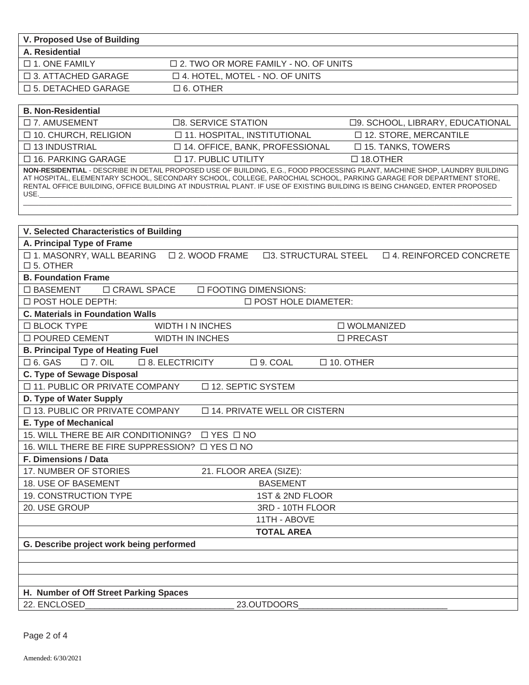| V. Proposed Use of Building  |                                        |
|------------------------------|----------------------------------------|
| A. Residential               |                                        |
| $\Box$ 1. ONE FAMILY         | □ 2. TWO OR MORE FAMILY - NO. OF UNITS |
| □ 3. ATTACHED GARAGE         | $\Box$ 4. HOTEL, MOTEL - NO. OF UNITS  |
| $\square$ 5. DETACHED GARAGE | $\Box$ 6. OTHER                        |

| <b>B. Non-Residential</b>                                                                                                                                                                                                                                                                                                                                                            |                                       |                                  |  |
|--------------------------------------------------------------------------------------------------------------------------------------------------------------------------------------------------------------------------------------------------------------------------------------------------------------------------------------------------------------------------------------|---------------------------------------|----------------------------------|--|
| $\square$ 7. AMUSEMENT                                                                                                                                                                                                                                                                                                                                                               | □8. SERVICE STATION                   | □9. SCHOOL, LIBRARY, EDUCATIONAL |  |
| □ 10. CHURCH, RELIGION                                                                                                                                                                                                                                                                                                                                                               | □ 11. HOSPITAL, INSTITUTIONAL         | □ 12. STORE, MERCANTILE          |  |
| $\Box$ 13 INDUSTRIAL                                                                                                                                                                                                                                                                                                                                                                 | $\Box$ 14. OFFICE, BANK, PROFESSIONAL | $\Box$ 15. TANKS, TOWERS         |  |
| $\Box$ 16. PARKING GARAGE                                                                                                                                                                                                                                                                                                                                                            | $\Box$ 17. PUBLIC UTILITY             | $\Box$ 18.0THER                  |  |
| NON-RESIDENTIAL - DESCRIBE IN DETAIL PROPOSED USE OF BUILDING, E.G., FOOD PROCESSING PLANT, MACHINE SHOP, LAUNDRY BUILDING<br>AT HOSPITAL, ELEMENTARY SCHOOL, SECONDARY SCHOOL, COLLEGE, PAROCHIAL SCHOOL, PARKING GARAGE FOR DEPARTMENT STORE,<br>RENTAL OFFICE BUILDING, OFFICE BUILDING AT INDUSTRIAL PLANT. IF USE OF EXISTING BUILDING IS BEING CHANGED, ENTER PROPOSED<br>USE. |                                       |                                  |  |

| <b>V. Selected Characteristics of Building</b>                                                                            |  |  |  |
|---------------------------------------------------------------------------------------------------------------------------|--|--|--|
| A. Principal Type of Frame                                                                                                |  |  |  |
| □ 1. MASONRY, WALL BEARING □ 2. WOOD FRAME<br>□3. STRUCTURAL STEEL<br>$\Box$ 4. REINFORCED CONCRETE<br>$\square$ 5. OTHER |  |  |  |
| <b>B. Foundation Frame</b>                                                                                                |  |  |  |
| □ BASEMENT<br>□ CRAWL SPACE<br>□ FOOTING DIMENSIONS:                                                                      |  |  |  |
| <b>ID POST HOLE DEPTH:</b><br><b>D POST HOLE DIAMETER:</b>                                                                |  |  |  |
| <b>C. Materials in Foundation Walls</b>                                                                                   |  |  |  |
| □ BLOCK TYPE<br><b>WIDTH IN INCHES</b><br>□ WOLMANIZED                                                                    |  |  |  |
| □ POURED CEMENT<br><b>WIDTH IN INCHES</b><br>□ PRECAST                                                                    |  |  |  |
| <b>B. Principal Type of Heating Fuel</b>                                                                                  |  |  |  |
| $\square$ 7. OIL<br>$\square$ 6. GAS<br>□ 8. ELECTRICITY<br>$\square$ 10. OTHER<br>$\square$ 9. COAL                      |  |  |  |
| C. Type of Sewage Disposal                                                                                                |  |  |  |
| □ 11. PUBLIC OR PRIVATE COMPANY<br>□ 12. SEPTIC SYSTEM                                                                    |  |  |  |
| D. Type of Water Supply                                                                                                   |  |  |  |
| □ 13. PUBLIC OR PRIVATE COMPANY<br>□ 14. PRIVATE WELL OR CISTERN                                                          |  |  |  |
| E. Type of Mechanical                                                                                                     |  |  |  |
| 15. WILL THERE BE AIR CONDITIONING?<br>$\Box$ YES $\Box$ NO                                                               |  |  |  |
| 16. WILL THERE BE FIRE SUPPRESSION? $\Box$ YES $\Box$ NO                                                                  |  |  |  |
| F. Dimensions / Data                                                                                                      |  |  |  |
| 17. NUMBER OF STORIES<br>21. FLOOR AREA (SIZE):                                                                           |  |  |  |
| <b>18. USE OF BASEMENT</b><br><b>BASEMENT</b>                                                                             |  |  |  |
| 19. CONSTRUCTION TYPE<br>1ST & 2ND FLOOR                                                                                  |  |  |  |
| 20. USE GROUP<br>3RD - 10TH FLOOR                                                                                         |  |  |  |
| 11TH - ABOVE                                                                                                              |  |  |  |
| <b>TOTAL AREA</b>                                                                                                         |  |  |  |
| G. Describe project work being performed                                                                                  |  |  |  |
|                                                                                                                           |  |  |  |
|                                                                                                                           |  |  |  |
|                                                                                                                           |  |  |  |
| H. Number of Off Street Parking Spaces                                                                                    |  |  |  |
| 22. ENCLOSED<br>23.OUTDOORS                                                                                               |  |  |  |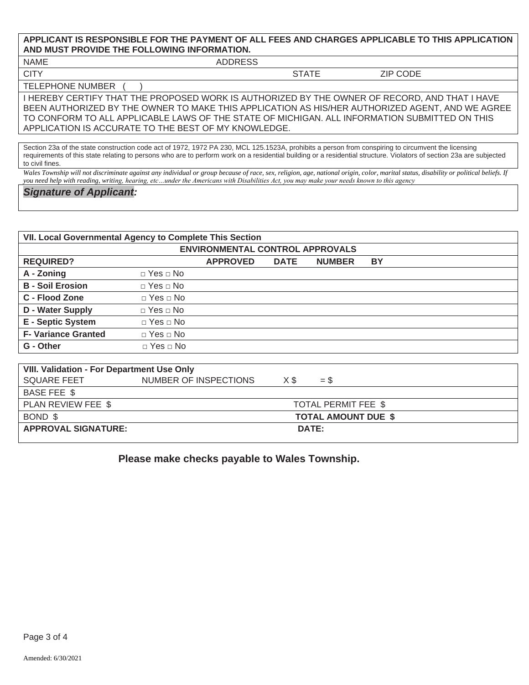### **APPLICANT IS RESPONSIBLE FOR THE PAYMENT OF ALL FEES AND CHARGES APPLICABLE TO THIS APPLICATION AND MUST PROVIDE THE FOLLOWING INFORMATION.**

NAME ADDRESS

CITY STATE ZIP CODE

**TELEPHONE NUMBER** 

I HEREBY CERTIFY THAT THE PROPOSED WORK IS AUTHORIZED BY THE OWNER OF RECORD, AND THAT I HAVE BEEN AUTHORIZED BY THE OWNER TO MAKE THIS APPLICATION AS HIS/HER AUTHORIZED AGENT, AND WE AGREE TO CONFORM TO ALL APPLICABLE LAWS OF THE STATE OF MICHIGAN. ALL INFORMATION SUBMITTED ON THIS APPLICATION IS ACCURATE TO THE BEST OF MY KNOWLEDGE.

Section 23a of the state construction code act of 1972, 1972 PA 230, MCL 125.1523A, prohibits a person from conspiring to circumvent the licensing requirements of this state relating to persons who are to perform work on a residential building or a residential structure. Violators of section 23a are subjected to civil fines.

*Wales Township will not discriminate against any individual or group because of race, sex, religion, age, national origin, color, marital status, disability or political beliefs. If you need help with reading, writing, hearing, etc…under the Americans with Disabilities Act, you may make your needs known to this agency*

*Signature of Applicant:*

| VII. Local Governmental Agency to Complete This Section |                          |                 |             |               |           |
|---------------------------------------------------------|--------------------------|-----------------|-------------|---------------|-----------|
| <b>ENVIRONMENTAL CONTROL APPROVALS</b>                  |                          |                 |             |               |           |
| <b>REQUIRED?</b>                                        |                          | <b>APPROVED</b> | <b>DATE</b> | <b>NUMBER</b> | <b>BY</b> |
| A - Zoning                                              | $\Box$ Yes $\Box$ No     |                 |             |               |           |
| <b>B</b> - Soil Erosion                                 | $\Box$ Yes $\Box$ No     |                 |             |               |           |
| C - Flood Zone                                          | $\Box$ Yes $\Box$ No     |                 |             |               |           |
| <b>D</b> - Water Supply                                 | $\Box$ Yes $\Box$ No     |                 |             |               |           |
| <b>E</b> - Septic System                                | $\Box$ Yes $\Box$ No     |                 |             |               |           |
| <b>F- Variance Granted</b>                              | $\sqcap$ Yes $\sqcap$ No |                 |             |               |           |
| G - Other                                               | $\Box$ Yes $\Box$ No     |                 |             |               |           |
|                                                         |                          |                 |             |               |           |
| <b>VIII. Validation - For Department Use Only</b>       |                          |                 |             |               |           |
| <b>SQUARE FEET</b>                                      | NUMBER OF INSPECTIONS    |                 | X\$         | $=$ \$        |           |
| <b>BASE FEE \$</b>                                      |                          |                 |             |               |           |

| PLAN REVIEW FEE \$         | TOTAL PERMIT FEE \$        |
|----------------------------|----------------------------|
| BOND \$                    | <b>TOTAL AMOUNT DUE \$</b> |
| <b>APPROVAL SIGNATURE:</b> | DATE:                      |

 **Please make checks payable to Wales Township.**